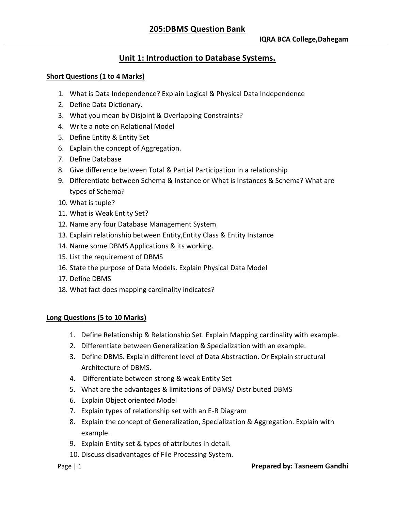# **Unit 1: Introduction to Database Systems.**

## **Short Questions (1 to 4 Marks)**

- 1. What is Data Independence? Explain Logical & Physical Data Independence
- 2. Define Data Dictionary.
- 3. What you mean by Disjoint & Overlapping Constraints?
- 4. Write a note on Relational Model
- 5. Define Entity & Entity Set
- 6. Explain the concept of Aggregation.
- 7. Define Database
- 8. Give difference between Total & Partial Participation in a relationship
- 9. Differentiate between Schema & Instance or What is Instances & Schema? What are types of Schema?
- 10. What is tuple?
- 11. What is Weak Entity Set?
- 12. Name any four Database Management System
- 13. Explain relationship between Entity,Entity Class & Entity Instance
- 14. Name some DBMS Applications & its working.
- 15. List the requirement of DBMS
- 16. State the purpose of Data Models. Explain Physical Data Model
- 17. Define DBMS
- 18. What fact does mapping cardinality indicates?

## **Long Questions (5 to 10 Marks)**

- 1. Define Relationship & Relationship Set. Explain Mapping cardinality with example.
- 2. Differentiate between Generalization & Specialization with an example.
- 3. Define DBMS. Explain different level of Data Abstraction. Or Explain structural Architecture of DBMS.
- 4. Differentiate between strong & weak Entity Set
- 5. What are the advantages & limitations of DBMS/ Distributed DBMS
- 6. Explain Object oriented Model
- 7. Explain types of relationship set with an E-R Diagram
- 8. Explain the concept of Generalization, Specialization & Aggregation. Explain with example.
- 9. Explain Entity set & types of attributes in detail.
- 10. Discuss disadvantages of File Processing System.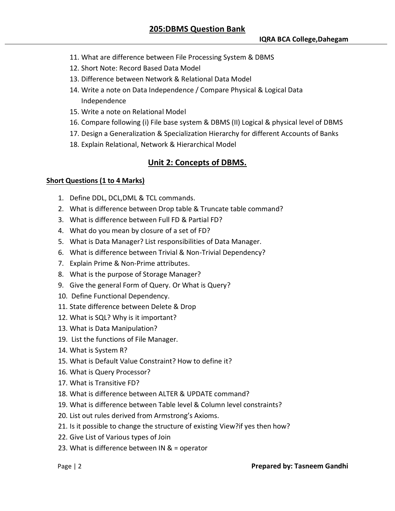- 11. What are difference between File Processing System & DBMS
- 12. Short Note: Record Based Data Model
- 13. Difference between Network & Relational Data Model
- 14. Write a note on Data Independence / Compare Physical & Logical Data Independence
- 15. Write a note on Relational Model
- 16. Compare following (i) File base system & DBMS (II) Logical & physical level of DBMS
- 17. Design a Generalization & Specialization Hierarchy for different Accounts of Banks
- 18. Explain Relational, Network & Hierarchical Model

# **Unit 2: Concepts of DBMS.**

## **Short Questions (1 to 4 Marks)**

- 1. Define DDL, DCL,DML & TCL commands.
- 2. What is difference between Drop table & Truncate table command?
- 3. What is difference between Full FD & Partial FD?
- 4. What do you mean by closure of a set of FD?
- 5. What is Data Manager? List responsibilities of Data Manager.
- 6. What is difference between Trivial & Non-Trivial Dependency?
- 7. Explain Prime & Non-Prime attributes.
- 8. What is the purpose of Storage Manager?
- 9. Give the general Form of Query. Or What is Query?
- 10. Define Functional Dependency.
- 11. State difference between Delete & Drop
- 12. What is SQL? Why is it important?
- 13. What is Data Manipulation?
- 19. List the functions of File Manager.
- 14. What is System R?
- 15. What is Default Value Constraint? How to define it?
- 16. What is Query Processor?
- 17. What is Transitive FD?
- 18. What is difference between ALTER & UPDATE command?
- 19. What is difference between Table level & Column level constraints?
- 20. List out rules derived from Armstrong's Axioms.
- 21. Is it possible to change the structure of existing View?if yes then how?
- 22. Give List of Various types of Join
- 23. What is difference between IN & = operator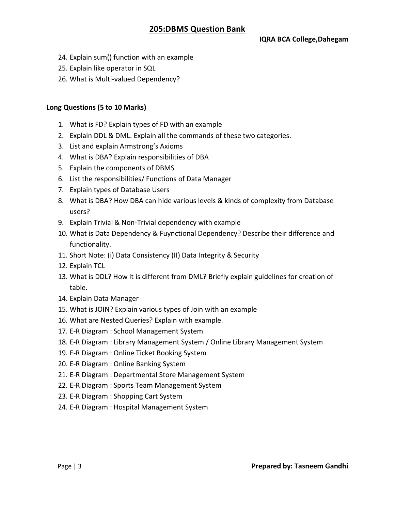- 24. Explain sum() function with an example
- 25. Explain like operator in SQL
- 26. What is Multi-valued Dependency?

## **Long Questions (5 to 10 Marks)**

- 1. What is FD? Explain types of FD with an example
- 2. Explain DDL & DML. Explain all the commands of these two categories.
- 3. List and explain Armstrong's Axioms
- 4. What is DBA? Explain responsibilities of DBA
- 5. Explain the components of DBMS
- 6. List the responsibilities/ Functions of Data Manager
- 7. Explain types of Database Users
- 8. What is DBA? How DBA can hide various levels & kinds of complexity from Database users?
- 9. Explain Trivial & Non-Trivial dependency with example
- 10. What is Data Dependency & Fuynctional Dependency? Describe their difference and functionality.
- 11. Short Note: (i) Data Consistency (II) Data Integrity & Security
- 12. Explain TCL
- 13. What is DDL? How it is different from DML? Briefly explain guidelines for creation of table.
- 14. Explain Data Manager
- 15. What is JOIN? Explain various types of Join with an example
- 16. What are Nested Queries? Explain with example.
- 17. E-R Diagram : School Management System
- 18. E-R Diagram : Library Management System / Online Library Management System
- 19. E-R Diagram : Online Ticket Booking System
- 20. E-R Diagram : Online Banking System
- 21. E-R Diagram : Departmental Store Management System
- 22. E-R Diagram : Sports Team Management System
- 23. E-R Diagram : Shopping Cart System
- 24. E-R Diagram : Hospital Management System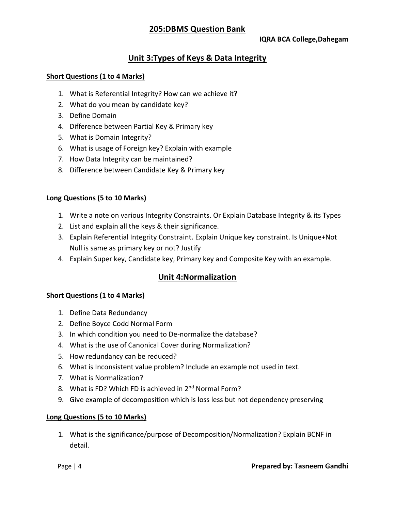# **Unit 3:Types of Keys & Data Integrity**

## **Short Questions (1 to 4 Marks)**

- 1. What is Referential Integrity? How can we achieve it?
- 2. What do you mean by candidate key?
- 3. Define Domain
- 4. Difference between Partial Key & Primary key
- 5. What is Domain Integrity?
- 6. What is usage of Foreign key? Explain with example
- 7. How Data Integrity can be maintained?
- 8. Difference between Candidate Key & Primary key

## **Long Questions (5 to 10 Marks)**

- 1. Write a note on various Integrity Constraints. Or Explain Database Integrity & its Types
- 2. List and explain all the keys & their significance.
- 3. Explain Referential Integrity Constraint. Explain Unique key constraint. Is Unique+Not Null is same as primary key or not? Justify
- 4. Explain Super key, Candidate key, Primary key and Composite Key with an example.

## **Unit 4:Normalization**

## **Short Questions (1 to 4 Marks)**

- 1. Define Data Redundancy
- 2. Define Boyce Codd Normal Form
- 3. In which condition you need to De-normalize the database?
- 4. What is the use of Canonical Cover during Normalization?
- 5. How redundancy can be reduced?
- 6. What is Inconsistent value problem? Include an example not used in text.
- 7. What is Normalization?
- 8. What is FD? Which FD is achieved in 2<sup>nd</sup> Normal Form?
- 9. Give example of decomposition which is loss less but not dependency preserving

## **Long Questions (5 to 10 Marks)**

1. What is the significance/purpose of Decomposition/Normalization? Explain BCNF in detail.